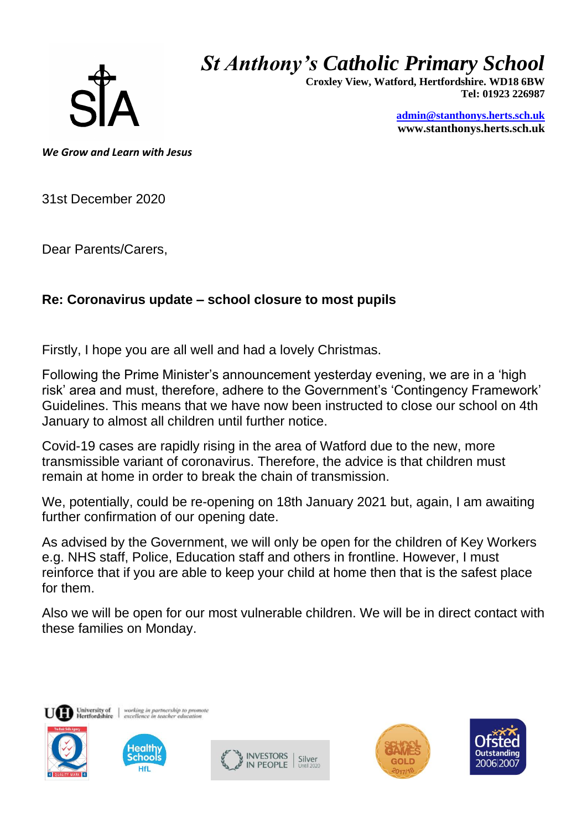

## *St Anthony's Catholic Primary School*

 **Croxley View, Watford, Hertfordshire. WD18 6BW Tel: 01923 226987** 

> **[admin@stanthonys.herts.sch.uk](mailto:admin.stanthonys@thegrid.org.uk) www.stanthonys.herts.sch.uk**

*We Grow and Learn with Jesus* 

31st December 2020

Dear Parents/Carers,

## **Re: Coronavirus update – school closure to most pupils**

Firstly, I hope you are all well and had a lovely Christmas.

Following the Prime Minister's announcement yesterday evening, we are in a 'high risk' area and must, therefore, adhere to the Government's 'Contingency Framework' Guidelines. This means that we have now been instructed to close our school on 4th January to almost all children until further notice.

Covid-19 cases are rapidly rising in the area of Watford due to the new, more transmissible variant of coronavirus. Therefore, the advice is that children must remain at home in order to break the chain of transmission.

We, potentially, could be re-opening on 18th January 2021 but, again, I am awaiting further confirmation of our opening date.

As advised by the Government, we will only be open for the children of Key Workers e.g. NHS staff, Police, Education staff and others in frontline. However, I must reinforce that if you are able to keep your child at home then that is the safest place for them.

Also we will be open for our most vulnerable children. We will be in direct contact with these families on Monday.









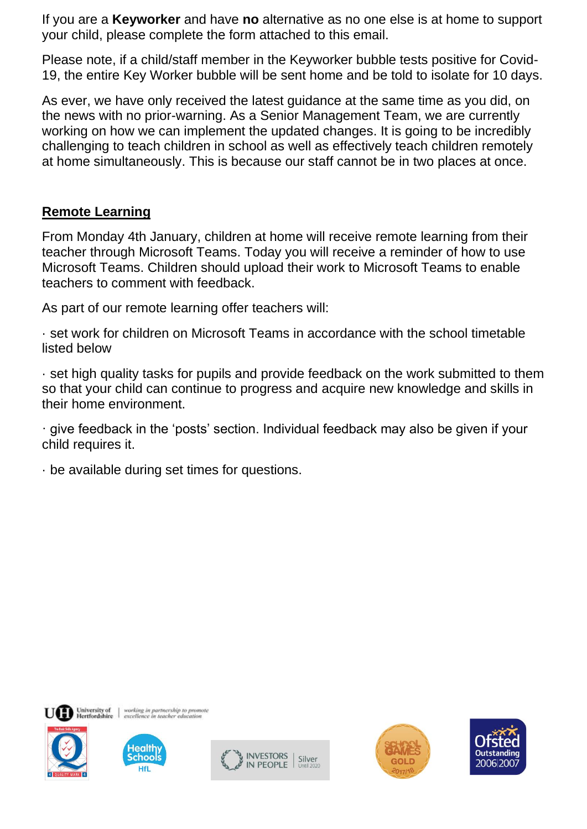If you are a **Keyworker** and have **no** alternative as no one else is at home to support your child, please complete the form attached to this email.

Please note, if a child/staff member in the Keyworker bubble tests positive for Covid-19, the entire Key Worker bubble will be sent home and be told to isolate for 10 days.

As ever, we have only received the latest guidance at the same time as you did, on the news with no prior-warning. As a Senior Management Team, we are currently working on how we can implement the updated changes. It is going to be incredibly challenging to teach children in school as well as effectively teach children remotely at home simultaneously. This is because our staff cannot be in two places at once.

## **Remote Learning**

From Monday 4th January, children at home will receive remote learning from their teacher through Microsoft Teams. Today you will receive a reminder of how to use Microsoft Teams. Children should upload their work to Microsoft Teams to enable teachers to comment with feedback.

As part of our remote learning offer teachers will:

· set work for children on Microsoft Teams in accordance with the school timetable listed below

· set high quality tasks for pupils and provide feedback on the work submitted to them so that your child can continue to progress and acquire new knowledge and skills in their home environment.

· give feedback in the 'posts' section. Individual feedback may also be given if your child requires it.

· be available during set times for questions.









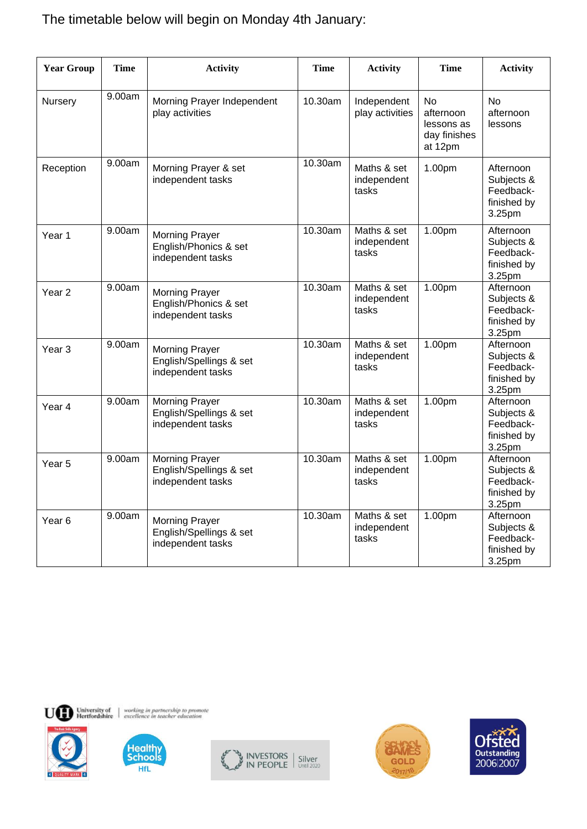## The timetable below will begin on Monday 4th January:

| <b>Year Group</b> | <b>Time</b> | <b>Activity</b>                                                       | <b>Time</b> | <b>Activity</b>                     | <b>Time</b>                                                     | <b>Activity</b>                                               |
|-------------------|-------------|-----------------------------------------------------------------------|-------------|-------------------------------------|-----------------------------------------------------------------|---------------------------------------------------------------|
| Nursery           | 9.00am      | Morning Prayer Independent<br>play activities                         | 10.30am     | Independent<br>play activities      | <b>No</b><br>afternoon<br>lessons as<br>day finishes<br>at 12pm | <b>No</b><br>afternoon<br>lessons                             |
| Reception         | 9.00am      | Morning Prayer & set<br>independent tasks                             | 10.30am     | Maths & set<br>independent<br>tasks | 1.00pm                                                          | Afternoon<br>Subjects &<br>Feedback-<br>finished by<br>3.25pm |
| Year 1            | 9.00am      | <b>Morning Prayer</b><br>English/Phonics & set<br>independent tasks   | 10.30am     | Maths & set<br>independent<br>tasks | 1.00pm                                                          | Afternoon<br>Subjects &<br>Feedback-<br>finished by<br>3.25pm |
| Year <sub>2</sub> | 9.00am      | <b>Morning Prayer</b><br>English/Phonics & set<br>independent tasks   | 10.30am     | Maths & set<br>independent<br>tasks | 1.00pm                                                          | Afternoon<br>Subjects &<br>Feedback-<br>finished by<br>3.25pm |
| Year <sub>3</sub> | 9.00am      | <b>Morning Prayer</b><br>English/Spellings & set<br>independent tasks | 10.30am     | Maths & set<br>independent<br>tasks | 1.00pm                                                          | Afternoon<br>Subjects &<br>Feedback-<br>finished by<br>3.25pm |
| Year 4            | 9.00am      | <b>Morning Prayer</b><br>English/Spellings & set<br>independent tasks | 10.30am     | Maths & set<br>independent<br>tasks | 1.00 <sub>pm</sub>                                              | Afternoon<br>Subjects &<br>Feedback-<br>finished by<br>3.25pm |
| Year <sub>5</sub> | 9.00am      | <b>Morning Prayer</b><br>English/Spellings & set<br>independent tasks | 10.30am     | Maths & set<br>independent<br>tasks | 1.00pm                                                          | Afternoon<br>Subjects &<br>Feedback-<br>finished by<br>3.25pm |
| Year <sub>6</sub> | 9.00am      | <b>Morning Prayer</b><br>English/Spellings & set<br>independent tasks | 10.30am     | Maths & set<br>independent<br>tasks | 1.00pm                                                          | Afternoon<br>Subjects &<br>Feedback-<br>finished by<br>3.25pm |